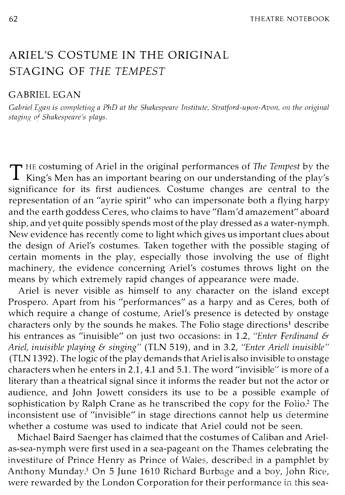## ARIEL'S COSTUME IN THE ORIGINAL STAGING OF THE TEMPEST

## GABRIEL EGAN

Gabriel Egan is completing a PhD at the Shakespeare Institute, Stratford-upon-Avon, on the original staging of Shakespeare's plays.

THE costuming of Ariel in the original performances of The Tempest by the  $\perp$  King's Men has an important bearing on our understanding of the play's significance for its first audiences. Costume changes are central to the representation of an "ayrie spirit" who can impersonate both a flying harpy and the earth goddess Ceres, who claims to have "flam'd amazement" aboard ship, and yet quite possibly spends most of the play dressed as a water-nymph. New evidence has recently come to light which gives us important clues about the design of Ariel's costumes. Taken together with the possible staging of certain moments in the play, especially those involving the use of flight machinery, the evidence concerning Ariel's costumes throws light on the means by which extremely rapid changes of appearance were made.

Ariel is never visible as himself to any character on the island except Prospero. Apart from his "performances" as a harpy and as Ceres, both of which require a change of costume, Ariel's presence is detected by onstage characters only by the sounds he makes. The Folio stage directions<sup>1</sup> describe his entrances as "inuisible" on just two occasions: in 1.2, "Enter Ferdinand & Ariel, inuisible playing & singing" (TLN 519), and in 3.2, "Enter Ariell inuisible" (TLN 1392) . The logic of the play demands that Ariel is also invisible to onstage characters when he enters in 2.1, 4.1 and 5.1. The word "invisible" is more of a literary than a theatrical signal since it informs the reader but not the actor or audience, and John Jowett considers its use to be a possible example of sophistication by Ralph Crane as he transcribed the copy for the Folio.<sup>2</sup> The inconsistent use of "invisible" in stage directions cannot help us determine whether a costume was used to indicate that Ariel could not be seen.

Michael Baird Saenger has claimed that the costumes of Caliban and Arielas-sea-nymph were first used in a sea-pageant on the Thames celebrating the investiture of Prince Henry as Prince of Wales, described in a pamphlet by Anthony Munday.3 On 5 June 1610 Richard Burbage and a boy, John Rice, were rewarded by the London Corporation for their performance in this sea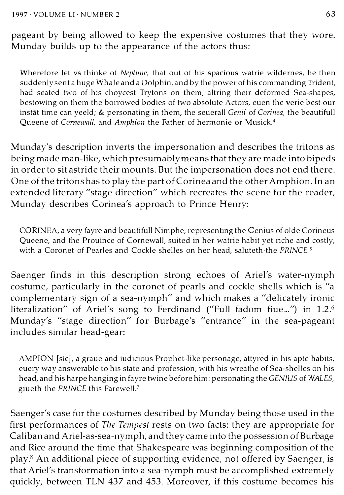pageant by being allowed to keep the expensive costumes that they wore. Munday builds up to the appearance of the actors thus:

Wherefore let vs thinke of Neptune, that out of his spacious watrie wildernes, he then suddenly sent a huge Whale and a Dolphin, and by the power of his commanding Trident, had seated two of his choycest Trytons on them, altring their deformed Sea-shapes, bestowing on them the borrowed bodies of two absolute Actors, euen the verie best our instat time can yeeld; & personating in them, the seuerall Genii of Corinea, the beautifull Queene of Cornewall, and Amphion the Father of hermonie or Musick.<sup>4</sup>

Munday's description inverts the impersonation and describes the tritons as being made man-like, which presumably means that they are made into bipeds in order to sit astride their mounts. But the impersonation does not end there. One of the tritons has to play the part of Corinea and the other Amphion. In an extended literary "stage direction" which recreates the scene for the reader, Munday describes Corinea's approach to Prince Henry:

CORINEA, a very fayre and beautifull Nimphe, representing the Genius of olde Corineus Queene, and the Prouince of Cornewall, suited in her watrie habit yet riche and costly, with a Coronet of Pearles and Cockle shelles on her head, saluteth the  $PRINCE^5$ 

Saenger finds in this description strong echoes of Ariel's water-nymph costume, particularly in the coronet of pearls and cockle shells which is "a complementary sign of a sea-nymph" and which makes a "delicately ironic literalization" of Ariel's song to Ferdinand ("Full fadom fiue...") in 1.2.<sup>6</sup> Munday's "stage direction" for Burbage's "entrance" in the sea-pageant includes similar head-gear:

AMPION [sic], a graue and iudicious Prophet-like personage, attyred in his apte habits, euery way answerable to his state and profession, with his wreathe of Sea-shelles on his head, and his harpe hanging in fayre twine before him: personating the GENIUS of WALES, giueth the PRINCE this Farewell.7

Saenger's case for the costumes described by Munday being those used in the first performances of The Tempest rests on two facts: they are appropriate for Caliban and Ariel-as-sea-nymph, and they came into the possession of Burbage and Rice around the time that Shakespeare was beginning composition of the play.<sup>8</sup> An additional piece of supporting evidence, not offered by Saenger, is that Ariel's transformation into a sea-nymph must be accomplished extremely quickly, between TLN 437 and 453. Moreover, if this costume becomes his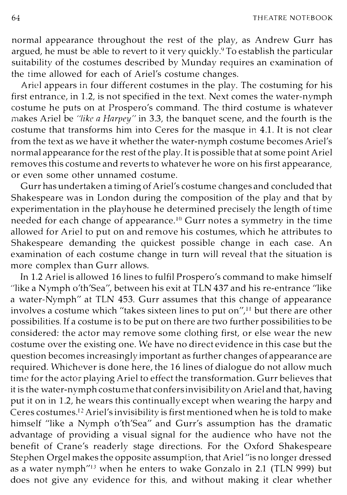64 THEATRE NOTEBOOK

normal appearance throughout the rest of the play, as Andrew Gurr has argued, he must be able to revert to it very quickly.<sup>9</sup> To establish the particular suitability of the costumes described by Munday requires an examination of the time allowed for each of Ariel's costume changes.

Ariel appears in four different costumes in the play. The costuming for his first entrance, in 1.2, is not specified in the text. Next comes the water-nymph costume he puts on at Prospero's command. The third costume is whatever makes Ariel be "like a Harpey" in 3.3, the banquet scene, and the fourth is the costume that transforms him into Ceres for the masque in 4.1. It is not clear from the text as we have it whether the water-nymph costume becomes Ariel's normal appearance for the rest of the play. It is possible that at some point Ariel removes this costume and reverts to whatever he wore on his first appearance, or even some other unnamed costume.

Gurr has undertaken a timing of Ariel's costume changes and concluded that Shakespeare was in London during the composition of the play and that by experimentation in the playhouse he determined precisely the length of time needed for each change of appearance.<sup>10</sup> Gurr notes a symmetry in the time allowed for Ariel to put on and remove his costumes, which he attributes to Shakespeare demanding the quickest possible change in each case. An examination of each costume change in turn will reveal that the situation is more complex than Gurr allows.

In 1.2 Ariel is allowed 16 lines to fulfil Prospero's command to make himself "like a N ymph o'th'Sea", between his exit at TLN 437 and his re-entrance "like a water-Nymph" at TLN 453. Gurr assumes that this change of appearance involves a costume which "takes sixteen lines to put on",<sup>11</sup> but there are other possibilities. If a costume is to be put on there are two further possibilities to be considered: the actor may remove some clothing first, or else wear the new costume over the existing one. We have no direct evidence in this case but the question becomes increasingly important as further changes of appearance are required. Whichever is done here, the 16 lines of dialogue do not allow much time for the actor playing Ariel to effect the transformation. Gurr believes that it is the water-nymph costume that confers invisibility on Ariel and that, having put it on in 1.2, he wears this continually except when wearing the harpy and Ceres costumes.I2 Ariel's invisibility is first mentioned when he is told to make himself "like a Nymph o'th'Sea" and Gurr's assumption has the dramatic advantage of providing a visual signal for the audience who have not the benefit of Crane's readerly stage directions. For the Oxford Shakespeare Stephen Orgel makes the opposite assumption, that Ariel "is no longer dressed as a water nymph<sup> $13$ </sup> when he enters to wake Gonzalo in 2.1 (TLN 999) but does not give any evidence for this, and without making it clear whether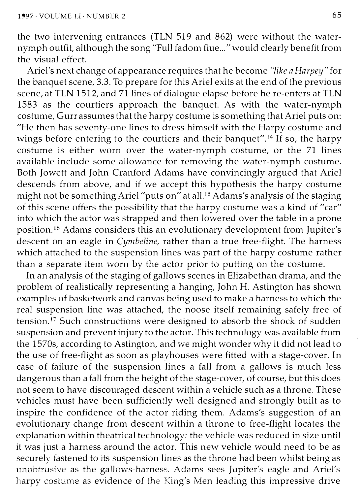the two intervening entrances (TLN 519 and 862) were without the waternymph outfit, although the song "Full fadom fiue ... " would clearly benefit from the visual effect.

Ariel's next change of appearance requires that he become "like a Harpey" for the banquet scene, 3.3. To prepare for this Ariel exits at the end of the previous scene, at TLN 1512, and 71 lines of dialogue elapse before he re-enters at TLN 1583 as the courtiers approach the banquet. As with the water-nymph costume, Gurr assumes that the harpy costume is something that Ariel puts on: "He then has seventy-one lines to dress himself with the Harpy costume and wings before entering to the courtiers and their banquet".<sup>14</sup> If so, the harpy costume is either worn over the water-nymph costume, or the 71 lines available include some allowance for removing the water-nymph costume. Both Jowett and John Cranford Adams have convincingly argued that Ariel descends from above, and if we accept this hypothesis the harpy costume might not be something Ariel "puts on" at all.15 Adams's analysis of the staging of this scene offers the possibility that the harpy costume was a kind of "car" into which the actor was strapped and then lowered over the table in a prone position.16 Adams considers this an evolutionary development from Jupiter's descent on an eagle in Cymbeline, rather than a true free-flight. The harness which attached to the suspension lines was part of the harpy costume rather than a separate item worn by the actor prior to putting on the costume.

In an analysis of the staging of gallows scenes in Elizabethan drama, and the problem of realistically representing a hanging, John H. Astington has shown examples of basketwork and canvas being used to make a harness to which the real suspension line was attached, the noose itself remaining safely free of tension.<sup>17</sup> Such constructions were designed to absorb the shock of sudden suspension and prevent injury to the actor. This technology was available from the 1570s, according to Astington, and we might wonder why it did not lead to the use of free-flight as soon as playhouses were fitted with a stage-cover. In case of failure of the suspension lines a fall from a gallows is much less dangerous than a fall from the height of the stage-cover, of course, but this does not seem to have discouraged descent within a vehicle such as a throne. These vehicles must have been sufficiently well designed and strongly built as to inspire the confidence of the actor riding them. Adams's suggestion of an evolutionary change from descent within a throne to free-flight locates the explanation within theatrical technology: the vehicle was reduced in size until it was just a harness around the actor. This new vehicle would need to be as securely fastened to its suspension lines as the throne had been whilst being as unobtrusive as the gallows-harness. Adams sees Jupiter's eagle and Ariel's harpy costume as evidence of the King's Men leading this impressive drive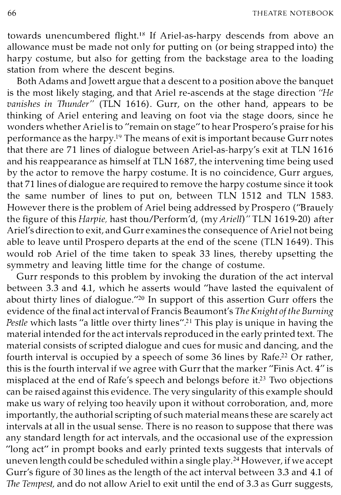66 THEATRE NOTEBOOK

towards unencumbered flight.18 If Ariel-as-harpy descends from above an allowance must be made not only for putting on (or being strapped into) the harpy costume, but also for getting from the backstage area to the loading station from where the descent begins.

Both Adams and Jowett argue that a descent to a position above the banquet is the most likely staging, and that Ariel re-ascends at the stage direction "He vanishes in Thunder" (TLN 1616). Gurr, on the other hand, appears to be thinking of Ariel entering and leaving on foot via the stage doors, since he wonders whether Ariel is to "remain on stage" to hear Prospero's praise for his performance as the harpy.19 The means of exit is important because Gurr notes that there are 71 lines of dialogue between Ariel-as-harpy's exit at TLN 1616 and his reappearance as himself at TLN 1687, the intervening time being used by the actor to remove the harpy costume. It is no coincidence, Gurr argues, that 71 lines of dialogue are required to remove the harpy costume since it took the same number of lines to put on, between TLN 1512 and TLN 1583. However there is the problem of Ariel being addressed by Prospero ("Brauely the figure of this Harpie, hast thou/Perform'd, (my Ariell)" TLN 1619-20) after Ariel's direction to exit, and Gurr examines the consequence of Ariel not being able to leave until Prospero departs at the end of the scene (TLN 1649). This would rob Ariel of the time taken to speak 33 lines, thereby upsetting the symmetry and leaving little time for the change of costume.

Gurr responds to this problem by invoking the duration of the act interval between 3.3 and 4.1, which he asserts would "have lasted the equivalent of about thirty lines of dialogue."20 In support of this assertion Gurr offers the evidence of the final act interval of Francis Beaumont's The Knight of the Burning Pestle which lasts "a little over thirty lines".<sup>21</sup> This play is unique in having the material intended for the act intervals reproduced in the early printed text. The material consists of scripted dialogue and cues for music and dancing, and the fourth interval is occupied by a speech of some 36 lines by Rafe.<sup>22</sup> Or rather, this is the fourth interval if we agree with Gurr that the marker "Finis Act. 4" is misplaced at the end of Rafe's speech and belongs before it.23 Two objections can be raised against this evidence. The very singularity of this example should make us wary of relying too heavily upon it without corroboration, and, more importantly, the authorial scripting of such material means these are scarely act intervals at all in the usual sense. There is no reason to suppose that there was any standard length for act intervals, and the occasional use of the expression "long act" in prompt books and early printed texts suggests that intervals of uneven length could be scheduled within a single play. 24 However, if we accept Gurr's figure of 30 lines as the length of the act interval between 3.3 and 4.1 of The Tempest, and do not allow Ariel to exit until the end of 3.3 as Gurr suggests,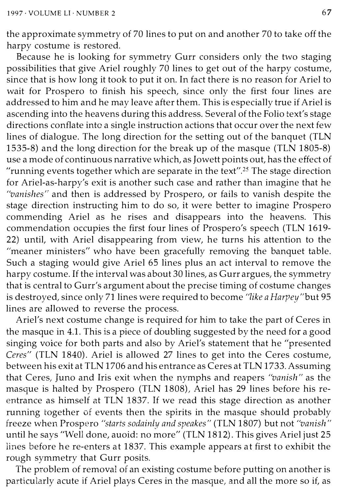the approximate symmetry of 70 lines to put on and another 70 to take off the harpy costume is restored.

Because he is looking for symmetry Gurr considers only the two staging possibilities that give Ariel roughly 70 lines to get out of the harpy costume, since that is how long it took to put it on. In fact there is no reason for Ariel to wait for Prospero to finish his speech, since only the first four lines are addressed to him and he may leave after them. This is especially true if Ariel is ascending into the heavens during this address. Several of the Folio text's stage directions conflate into a single instruction actions that occur over the next few lines of dialogue. The long direction for the setting out of the banquet (TLN 1535-8) and the long direction for the break up of the masque (TLN 1805-8) use a mode of continuous narrative which, as Jowett points out, has the effect of "running events together which are separate in the text".25 The stage direction for Ariel-as-harpy's exit is another such case and rather than imagine that he "vanishes" and then is addressed by Prospero, or fails to vanish despite the stage direction instructing him to do so, it were better to imagine Prospero commending Ariel as he rises and disappears into the heavens. This commendation occupies the first four lines of Prospero's speech (TLN 1619- 22) until, with Ariel disappearing from view, he turns his attention to the "meaner ministers" who have been gracefully removing the banquet table. Such a staging would give Ariel 65 lines plus an act interval to remove the harpy costume. If the interval was about 30 lines, as Gurr argues, the symmetry that is central to Gurr's argument about the precise timing of costume changes is destroyed, since only 71 lines were required to become "like a Harpey"but 95 lines are allowed to reverse the process.

Ariel's next costume change is required for him to take the part of Ceres in the masque in 4.1. This is a piece of doubling suggested by the need for a good singing voice for both parts and also by Ariel's statement that he "presented Ceres" (TLN 1840). Ariel is allowed 27 lines to get into the Ceres costume, between his exit at TLN 1706 and his entrance as Ceres at TLN 1733. Assuming that Ceres, Juno and Iris exit when the nymphs and reapers "vanish" as the masque is halted by Prospero (TLN 1808), Ariel has 29 lines before his reentrance as himself at TLN 1837. If we read this stage direction as another running together of events then the spirits in the masque should probably freeze when Prospero "starts sodainly and speakes" (TLN 1807) but not "vanish" until he says "Well done, auoid: no more" (TLN 1812). This gives Ariel just 25 lines before he re-enters at 1837. This example appears at first to exhibit the rough symmetry that Gurr posits.

The problem of removal of an existing costume before putting on another is particularly acute if Ariel plays Ceres in the masque, and all the more so if, as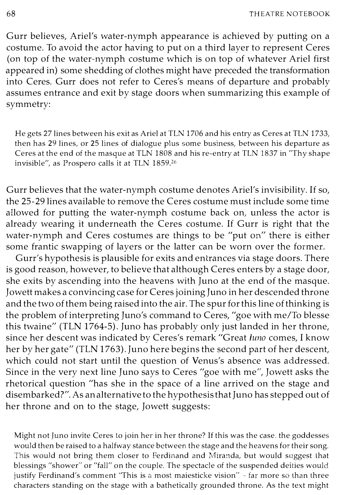Gurr believes, Ariel's water-nymph appearance is achieved by putting on a costume. To avoid the actor having to put on a third layer to represent Ceres (on top of the water-nymph costume which is on top of whatever Ariel first appeared in) some shedding of clothes might have preceded the transformation into Ceres. Gurr does not refer to Ceres's means of departure and probably assumes entrance and exit by stage doors when summarizing this example of symmetry:

He gets 27 lines between his exit as Ariel at TLN 1706 and his entry as Ceres at TLN 1733, then has 29 lines, or 25 lines of dialogue plus some business, between his departure as Ceres at the end of the masque at TLN 1808 and his re-entry at TLN 1837 in "Thy shape invisible", as Prospero calls it at TLN 1859.26

Gurr believes that the water-nymph costume denotes Ariel's invisibility. If so, the 25-29 lines available to remove the Ceres costume must include some time allowed for putting the water-nymph costume back on, unless the actor is already wearing it underneath the Ceres costume. If Gurr is right that the water-nymph and Ceres costumes are things to be "put on" there is either some frantic swapping of layers or the latter can be worn over the former.

Gurr's hypothesis is plausible for exits and entrances via stage doors. There is good reason, however, to believe that although Ceres enters by a stage door, she exits by ascending into the heavens with Juno at the end of the masque. Jowett makes a convincing case for Ceres joining Juno in her descended throne and the two of them being raised into the air. The spur for this line of thinking is the problem of interpreting Juno's command to Ceres, "goe with me/To blesse this twaine" (TLN 1764-5) . Juno has probably only just landed in her throne, since her descent was indicated by Ceres's remark "Great Iuno comes, I know her by her gate" (TLN 1763). Juno here begins the second part of her descent, which could not start until the question of Venus's absence was addressed. Since in the very next line Juno says to Ceres "goe with me", Jowett asks the rhetorical question "has she in the space of a line arrived on the stage and disembarked?". As an alternative to the hypothesis that Juno has stepped out of her throne and on to the stage, Jowett suggests:

Might not Juno invite Ceres lo join her in her throne? If this was the case, the goddesses would then be raised to a halfway stance between the stage and the heavens for their song, This would not bring them closer to Ferdinand and Miranda, but would suggest that blessings "shower" or "fall" on the couple, The spectacle of the suspended deities would justify Ferdinand's comment "This is a most maiesticke vision" - far more so than three characters standing on the stage with a bathetically grounded throne, As the text might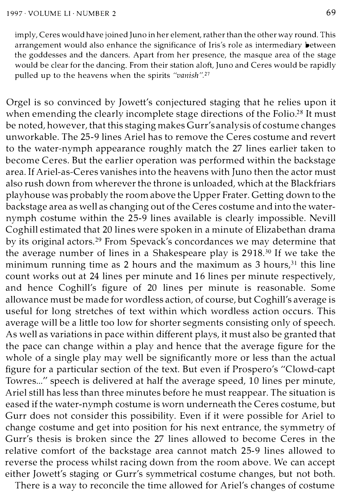imply, Ceres would have joined Juno in her element, rather than the other way round. This arrangement would also enhance the significance of Iris's role as intermediary between the goddesses and the dancers. Apart from her presence, the masque area of the stage would be clear for the dancing. From their station aloft, Juno and Ceres would be rapidly pulled up to the heavens when the spirits "vanish".<sup>27</sup>

Orgel is so convinced by Jowett's conjectured staging that he relies upon it when emending the clearly incomplete stage directions of the Folio.<sup>28</sup> It must be noted, however, that this staging makes Gurr's analysis of costume changes unworkable. The 25-9 lines Ariel has to remove the Ceres costume and revert to the water-nymph appearance roughly match the 27 lines earlier taken to become Ceres. But the earlier operation was performed within the backstage area. If Ariel-as-Ceres vanishes into the heavens with Juno then the actor must also rush down from wherever the throne is unloaded, which at the Blackfriars playhouse was probably the room above the Upper Frater. Getting down to the backstage area as well as changing out of the Ceres costume and into the waternymph costume within the 25-9 lines available is clearly impossible. Nevill Coghill estimated that 20 lines were spoken in a minute of Elizabethan drama by its original actors.<sup>29</sup> From Spevack's concordances we may determine that the average number of lines in a Shakespeare play is 2918.30 If we take the minimum running time as 2 hours and the maximum as 3 hours, $31$  this line count works out at 24 lines per minute and 16 lines per minute respectively, and hence Coghill's figure of 20 lines per minute is reasonable. Some allowance must be made for wordless action, of course, but Coghill's average is useful for long stretches of text within which wordless action occurs. This average will be a little too low for shorter segments consisting only of speech. As well as variations in pace within different plays, it must also be granted that the pace can change within a play and hence that the average figure for the whole of a single play may well be significantly more or less than the actual figure for a particular section of the text. But even if Prospero's "Clowd-capt Towres..." speech is delivered at half the average speed, 10 lines per minute, Ariel still has less than three minutes before he must reappear. The situation is eased if the water-nymph costume is worn underneath the Ceres costume, but Gurr does not consider this possibility. Even if it were possible for Ariel to change costume and get into position for his next entrance, the symmetry of Gurr's thesis is broken since the 27 lines allowed to become Ceres in the relative comfort of the backstage area cannot match 25-9 lines allowed to reverse the process whilst racing down from the room above. We can accept either Jowett's staging or Gurr's symmetrical costume changes, but not both.

There is a way to reconcile the time allowed for Ariel's changes of costume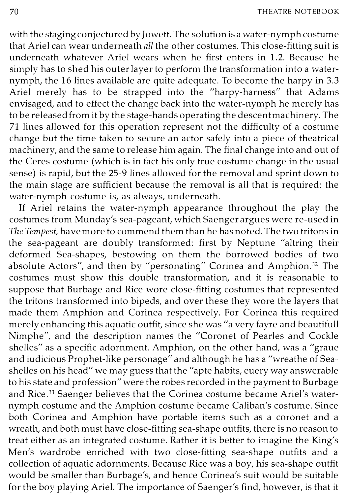with the staging conjectured by Jowett. The solution is a water-nymph costume that Ariel can wear underneath all the other costumes. This close-fitting suit is underneath whatever Ariel wears when he first enters in 1.2. Because he simply has to shed his outer layer to perform the transformation into a waternymph, the 16 lines available are quite adequate. To become the harpy in 3.3 Ariel merely has to be strapped into the "harpy-harness" that Adams envisaged, and to effect the change back into the water-nymph he merely has to be released from it by the stage-hands operating the descent machinery. The 71 lines allowed for this operation represent not the difficulty of a costume change but the time taken to secure an actor safely into a piece of theatrical machinery, and the same to release him again. The final change into and out of the Ceres costume (which is in fact his only true costume change in the usual sense) is rapid, but the 25-9 lines allowed for the removal and sprint down to the main stage are sufficient because the removal is all that is required: the water-nymph costume is, as always, underneath.

If Ariel retains the water-nymph appearance throughout the play the costumes from Munday's sea-pageant, which Saenger argues were re-used in The Tempest, have more to commend them than he has noted. The two tritons in the sea-pageant are doubly transformed: first by Neptune "altring their deformed Sea-shapes, bestowing on them the borrowed bodies of two absolute Actors", and then by "personating" Corinea and Amphion.<sup>32</sup> The costumes must show this double transformation, and it is reasonable to suppose that Burbage and Rice wore close-fitting costumes that represented the tritons transformed into bipeds, and over these they wore the layers that made them Amphion and Corinea respectively. For Corinea this required merely enhancing this aquatic outfit, since she was "a very fayre and beautifull Nimphe", and the description names the "Coronet of Pearles and Cockle shelles" as a specific adornment. Amphion, on the other hand, was a "graue and iudicious Prophet-like personage" and although he has a "wreathe of Seashelles on his head" we may guess that the "apte habits, euery way answerable to his state and profession" were the robes recorded in the payment to Burbage and Rice.<sup>33</sup> Saenger believes that the Corinea costume became Ariel's waternymph costume and the Amphion costume became Caliban's costume. Since both Corinea and Amphion have portable items such as a coronet and a wreath, and both must have close-fitting sea-shape outfits, there is no reason to treat either as an integrated costume. Rather it is better to imagine the King's Men's wardrobe enriched with two close-fitting sea-shape outfits and a collection of aquatic adornments. Because Rice was a boy, his sea-shape outfit would be smaller than Burbage's, and hence Corinea's suit would be suitable for the boy playing Ariel. The importance of Saenger's find, however, is that it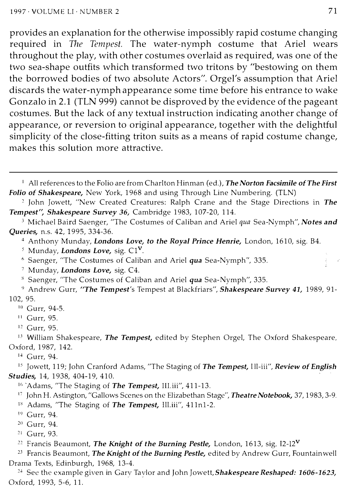provides an explanation for the otherwise impossibly rapid costume changing required in The Tempest. The water-nymph costume that Ariel wears throughout the play, with other costumes overlaid as required, was one of the two sea-shape outfits which transformed two tritons by "bestowing on them the borrowed bodies of two absolute Actors". Orgel's assumption that Ariel discards the water-nymph appearance some time before his entrance to wake Gonzalo in 2.1 (TLN 999) cannot be disproved by the evidence of the pageant costumes. But the lack of any textual instruction indicating another change of appearance, or reversion to original appearance, together with the delightful simplicity of the close-fitting triton suits as a means of rapid costume change, makes this solution more attractive.

<sup>1</sup> All references to the Folio are from Charlton Hinman (ed.), The Norton Facsimile of The First Folio of Shakespeare, New York, 1968 and using Through Line Numbering. (TLN)

<sup>2</sup> John Jowett, "New Created Creatures: Ralph Crane and the Stage Directions in The Tempest", Shakespeare Survey 36, Cambridge 1983, 107-20, 114.

<sup>3</sup> Michael Baird Saenger, "The Costumes of Caliban and Ariel qua Sea-Nymph", Notes and Queries, n.s. 42, 1995, 334-36.

4 Anthony Munday, Londons Love, to the Royal Prince Henrie, London, 1610, sig. B4.

<sup>6</sup> Saenger, "The Costumes of Caliban and Ariel qua Sea-Nymph", 335.

7 Munday, Londons Love, sig. C4.

s Saenger, "The Costumes of Caliban and Ariel qua Sea-Nymph", 335.

<sup>9</sup> Andrew Gurr, "The Tempest's Tempest at Blackfriars", Shakespeare Survey 41, 1989, 91-102, 95.

- $10$  Gurr, 94-5.
- <sup>11</sup> Gurr, 95.
- <sup>12</sup> Gurr, 95.

 $13$  William Shakespeare, The Tempest, edited by Stephen Orgel, The Oxford Shakespeare, Oxford, 1987, 142.

<sup>14</sup> Gurr, 94.

<sup>15</sup> Jowett, 119; John Cranford Adams, "The Staging of The Tempest, Ill-iii", Review of English Studies, 14, 1938, 404-19, 410.

<sup>16</sup> Adams, "The Staging of **The Tempest**, III.iii", 411-13.

<sup>17</sup> John H. Astington, "Gallows Scenes on the Elizabethan Stage", Theatre Notebook, 37, 1983, 3-9.

<sup>18</sup> Adams, "The Staging of The Tempest, Ill.iii", 411n1-2.

<sup>22</sup> Francis Beaumont, The Knight of the Burning Pestle, London, 1613, sig. I2-12<sup>V</sup>

<sup>23</sup> Francis Beaumont, The Knight of the Burning Pestle, edited by Andrew Gurr, Fountain well Drama Texts, Edinburgh, 1968, 13-4.

<sup>24</sup> See the example given in Gary Tavlor and John Jowett, **Shakespeare Reshaped: 1606-1623,** Oxford, 1993, 5-6, 11.

<sup>&</sup>lt;sup>5</sup> Munday, **Londons Love**, sig.  $CI<sup>V</sup>$ .

<sup>19</sup> Gurr, 94.

<sup>&</sup>lt;sup>20</sup> Gurr, 94.

<sup>&</sup>lt;sup>21</sup> Gurr, 93.